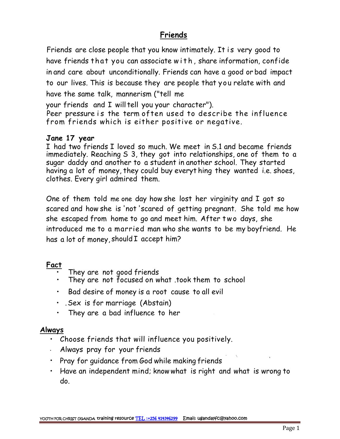## **Friends**

Friends are close people that you know intimately. It is very good to<br>have friends that you can associate with , share information, confide Friends<br>Friends are close people that you know intimately. It is very good to<br>have friends that you can associate w i t h , share information, confide<br>in and care about unconditionally. Friends can have a good or bad impac to our lives. This is because they are people that you relate with and have the same talk, mannerism ("tell me in and care about unconditionally. Friends can have a good or bad impact<br>to our lives. This is because they are people that you relate with and<br>have the same talk, mannerism ("tell me<br>your friends and I will tell you your

your friends and I will tell you your character").

from friends which is either positive or negative.

## **Jane 17 year**

I had two friends I loved so much. We meet in S.1 and became friends immediately. Reaching S 3, they got into relationships, one of them to a sugar daddy and another to a student in another school. They started having a lot of money, they could buy everyt hing they wanted i.e. shoes, clothes. Every girl admired them.

One of them told me one day how she lost her virginity and I got so scared and how she is 'not 'scared of getting pregnant. She told me how clothes. Every girl admired them.<br>One of them told me one day how she lost her virginity and I got so<br>scared and how she is 'not 'scared of getting pregnant. She told me how<br>she escaped from home to go and meet him. After has a lot of money, should I accept him?

## **Fact**

- They are not good friends
- They are not focused on what .took them to school
- Bad desire of money is a root cause to all evil
- .Sex is for marriage (Abstain)
- They are a bad influence to her

## **Always**

- Choose friends that will influence you positively.
- Always pray for your friends
- Pray for guidance from God while making friends
- Have an independent mind; knowwhat is right and what is wrong to do.

• '\,